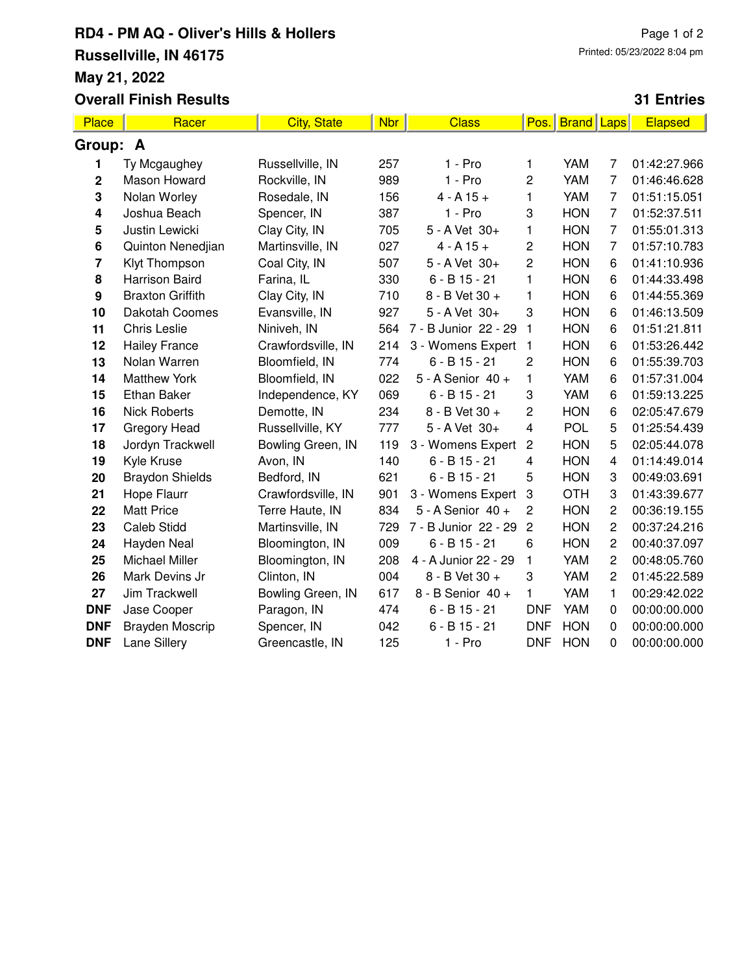## **RD4 - PM AQ - Oliver's Hills & Hollers Russellville, IN 46175 May 21, 2022 Overall Finish Results**

## Page 1 of 2 Printed: 05/23/2022 8:04 pm

## **31 Entries**

| <b>Place</b>            | Racer                   | <b>City, State</b> | <b>Nbr</b> | <b>Class</b>         | Pos.                    | <b>Brand</b> Laps |                | <b>Elapsed</b> |  |  |
|-------------------------|-------------------------|--------------------|------------|----------------------|-------------------------|-------------------|----------------|----------------|--|--|
| Group: A                |                         |                    |            |                      |                         |                   |                |                |  |  |
|                         | Ty Mcgaughey            | Russellville, IN   | 257        | $1 - Pro$            | 1                       | <b>YAM</b>        | 7              | 01:42:27.966   |  |  |
| $\mathbf 2$             | Mason Howard            | Rockville, IN      | 989        | $1 - Pro$            | 2                       | YAM               | $\overline{7}$ | 01:46:46.628   |  |  |
| 3                       | Nolan Worley            | Rosedale, IN       | 156        | $4 - A 15 +$         | 1                       | YAM               | $\overline{7}$ | 01:51:15.051   |  |  |
| 4                       | Joshua Beach            | Spencer, IN        | 387        | $1 - Pro$            | 3                       | <b>HON</b>        | $\overline{7}$ | 01:52:37.511   |  |  |
| 5                       | Justin Lewicki          | Clay City, IN      | 705        | 5 - A Vet 30+        | 1                       | <b>HON</b>        | $\overline{7}$ | 01:55:01.313   |  |  |
| 6                       | Quinton Nenedjian       | Martinsville, IN   | 027        | $4 - A 15 +$         | 2                       | <b>HON</b>        | $\overline{7}$ | 01:57:10.783   |  |  |
| $\overline{\mathbf{r}}$ | Klyt Thompson           | Coal City, IN      | 507        | 5 - A Vet 30+        | 2                       | <b>HON</b>        | 6              | 01:41:10.936   |  |  |
| 8                       | <b>Harrison Baird</b>   | Farina, IL         | 330        | $6 - B$ 15 - 21      | 1                       | <b>HON</b>        | 6              | 01:44:33.498   |  |  |
| 9                       | <b>Braxton Griffith</b> | Clay City, IN      | 710        | 8 - B Vet 30 +       | 1                       | <b>HON</b>        | 6              | 01:44:55.369   |  |  |
| 10                      | Dakotah Coomes          | Evansville, IN     | 927        | 5 - A Vet 30+        | 3                       | <b>HON</b>        | 6              | 01:46:13.509   |  |  |
| 11                      | <b>Chris Leslie</b>     | Niniveh, IN        | 564        | 7 - B Junior 22 - 29 | 1                       | <b>HON</b>        | 6              | 01:51:21.811   |  |  |
| 12                      | <b>Hailey France</b>    | Crawfordsville, IN | 214        | 3 - Womens Expert    | 1                       | <b>HON</b>        | 6              | 01:53:26.442   |  |  |
| 13                      | Nolan Warren            | Bloomfield, IN     | 774        | $6 - B$ 15 - 21      | $\overline{c}$          | <b>HON</b>        | 6              | 01:55:39.703   |  |  |
| 14                      | <b>Matthew York</b>     | Bloomfield, IN     | 022        | 5 - A Senior 40 +    | $\mathbf{1}$            | YAM               | 6              | 01:57:31.004   |  |  |
| 15                      | Ethan Baker             | Independence, KY   | 069        | $6 - B$ 15 - 21      | 3                       | YAM               | 6              | 01:59:13.225   |  |  |
| 16                      | <b>Nick Roberts</b>     | Demotte, IN        | 234        | 8 - B Vet 30 +       | 2                       | <b>HON</b>        | 6              | 02:05:47.679   |  |  |
| 17                      | Gregory Head            | Russellville, KY   | 777        | 5 - A Vet 30+        | $\overline{\mathbf{4}}$ | POL               | 5              | 01:25:54.439   |  |  |
| 18                      | Jordyn Trackwell        | Bowling Green, IN  | 119        | 3 - Womens Expert    | $\overline{c}$          | <b>HON</b>        | 5              | 02:05:44.078   |  |  |
| 19                      | Kyle Kruse              | Avon, IN           | 140        | $6 - B$ 15 - 21      | 4                       | <b>HON</b>        | 4              | 01:14:49.014   |  |  |
| 20                      | <b>Braydon Shields</b>  | Bedford, IN        | 621        | $6 - B$ 15 - 21      | 5                       | <b>HON</b>        | 3              | 00:49:03.691   |  |  |
| 21                      | Hope Flaurr             | Crawfordsville, IN | 901        | 3 - Womens Expert    | 3                       | <b>OTH</b>        | 3              | 01:43:39.677   |  |  |
| 22                      | <b>Matt Price</b>       | Terre Haute, IN    | 834        | 5 - A Senior 40 +    | $\overline{c}$          | <b>HON</b>        | $\overline{c}$ | 00:36:19.155   |  |  |
| 23                      | <b>Caleb Stidd</b>      | Martinsville, IN   | 729        | 7 - B Junior 22 - 29 | $\overline{c}$          | <b>HON</b>        | $\overline{c}$ | 00:37:24.216   |  |  |
| 24                      | Hayden Neal             | Bloomington, IN    | 009        | $6 - B$ 15 - 21      | 6                       | <b>HON</b>        | 2              | 00:40:37.097   |  |  |
| 25                      | <b>Michael Miller</b>   | Bloomington, IN    | 208        | 4 - A Junior 22 - 29 | 1                       | YAM               | $\overline{c}$ | 00:48:05.760   |  |  |
| 26                      | Mark Devins Jr          | Clinton, IN        | 004        | 8 - B Vet 30 +       | 3                       | YAM               | $\overline{c}$ | 01:45:22.589   |  |  |
| 27                      | Jim Trackwell           | Bowling Green, IN  | 617        | 8 - B Senior 40 +    | 1                       | YAM               | 1              | 00:29:42.022   |  |  |
| <b>DNF</b>              | Jase Cooper             | Paragon, IN        | 474        | $6 - B$ 15 - 21      | <b>DNF</b>              | YAM               | $\pmb{0}$      | 00:00:00.000   |  |  |
| <b>DNF</b>              | Brayden Moscrip         | Spencer, IN        | 042        | $6 - B$ 15 - 21      | <b>DNF</b>              | <b>HON</b>        | $\pmb{0}$      | 00:00:00.000   |  |  |
| <b>DNF</b>              | Lane Sillery            | Greencastle, IN    | 125        | 1 - Pro              | <b>DNF</b>              | <b>HON</b>        | 0              | 00:00:00.000   |  |  |